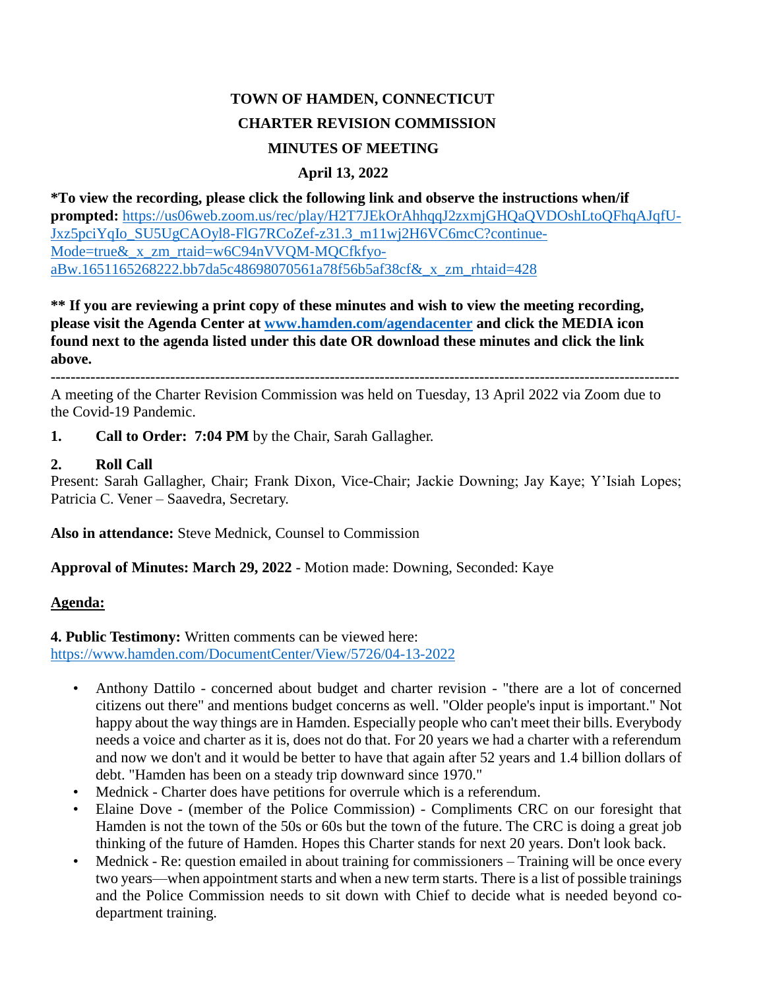# **TOWN OF HAMDEN, CONNECTICUT CHARTER REVISION COMMISSION MINUTES OF MEETING**

## **April 13, 2022**

**\*To view the recording, please click the following link and observe the instructions when/if prompted:** [https://us06web.zoom.us/rec/play/H2T7JEkOrAhhqqJ2zxmjGHQaQVDOshLtoQFhqAJqfU-](https://us06web.zoom.us/rec/play/H2T7JEkOrAhhqqJ2zxmjGHQaQVDOshLtoQFhqAJqfUJxz5pciYqIo_SU5UgCAOyl8-FlG7RCoZef-z31.3_m11wj2H6VC6mcC?continueMode=true&_x_zm_rtaid=w6C94nVVQM-MQCfkfyoaBw.1651165268222.bb7da5c48698070561a78f56b5af38cf&_x_zm_rhtaid=428)[Jxz5pciYqIo\\_SU5UgCAOyl8-FlG7RCoZef-z31.3\\_m11wj2H6VC6mcC?continue-](https://us06web.zoom.us/rec/play/H2T7JEkOrAhhqqJ2zxmjGHQaQVDOshLtoQFhqAJqfUJxz5pciYqIo_SU5UgCAOyl8-FlG7RCoZef-z31.3_m11wj2H6VC6mcC?continueMode=true&_x_zm_rtaid=w6C94nVVQM-MQCfkfyoaBw.1651165268222.bb7da5c48698070561a78f56b5af38cf&_x_zm_rhtaid=428)Mode=true& x\_zm\_rtaid=w6C94nVVOM-MOCfkfyo[aBw.1651165268222.bb7da5c48698070561a78f56b5af38cf&\\_x\\_zm\\_rhtaid=428](https://us06web.zoom.us/rec/play/H2T7JEkOrAhhqqJ2zxmjGHQaQVDOshLtoQFhqAJqfUJxz5pciYqIo_SU5UgCAOyl8-FlG7RCoZef-z31.3_m11wj2H6VC6mcC?continueMode=true&_x_zm_rtaid=w6C94nVVQM-MQCfkfyoaBw.1651165268222.bb7da5c48698070561a78f56b5af38cf&_x_zm_rhtaid=428)

**\*\* If you are reviewing a print copy of these minutes and wish to view the meeting recording, please visit the Agenda Center at [www.hamden.com/agendacenter](http://www.hamden.com/agendacenter) and click the MEDIA icon found next to the agenda listed under this date OR download these minutes and click the link above.**

**------------------------------------------------------------------------------------------------------------------------------**

A meeting of the Charter Revision Commission was held on Tuesday, 13 April 2022 via Zoom due to the Covid-19 Pandemic.

**1. Call to Order: 7:04 PM** by the Chair, Sarah Gallagher.

### **2. Roll Call**

Present: Sarah Gallagher, Chair; Frank Dixon, Vice-Chair; Jackie Downing; Jay Kaye; Y'Isiah Lopes; Patricia C. Vener – Saavedra, Secretary.

**Also in attendance:** Steve Mednick, Counsel to Commission

**Approval of Minutes: March 29, 2022** - Motion made: Downing, Seconded: Kaye

### **Agenda:**

**4. Public Testimony:** Written comments can be viewed here: <https://www.hamden.com/DocumentCenter/View/5726/04-13-2022>

- Anthony Dattilo concerned about budget and charter revision "there are a lot of concerned citizens out there" and mentions budget concerns as well. "Older people's input is important." Not happy about the way things are in Hamden. Especially people who can't meet their bills. Everybody needs a voice and charter as it is, does not do that. For 20 years we had a charter with a referendum and now we don't and it would be better to have that again after 52 years and 1.4 billion dollars of debt. "Hamden has been on a steady trip downward since 1970."
- Mednick Charter does have petitions for overrule which is a referendum.
- Elaine Dove (member of the Police Commission) Compliments CRC on our foresight that Hamden is not the town of the 50s or 60s but the town of the future. The CRC is doing a great job thinking of the future of Hamden. Hopes this Charter stands for next 20 years. Don't look back.
- Mednick Re: question emailed in about training for commissioners Training will be once every two years—when appointment starts and when a new term starts. There is a list of possible trainings and the Police Commission needs to sit down with Chief to decide what is needed beyond codepartment training.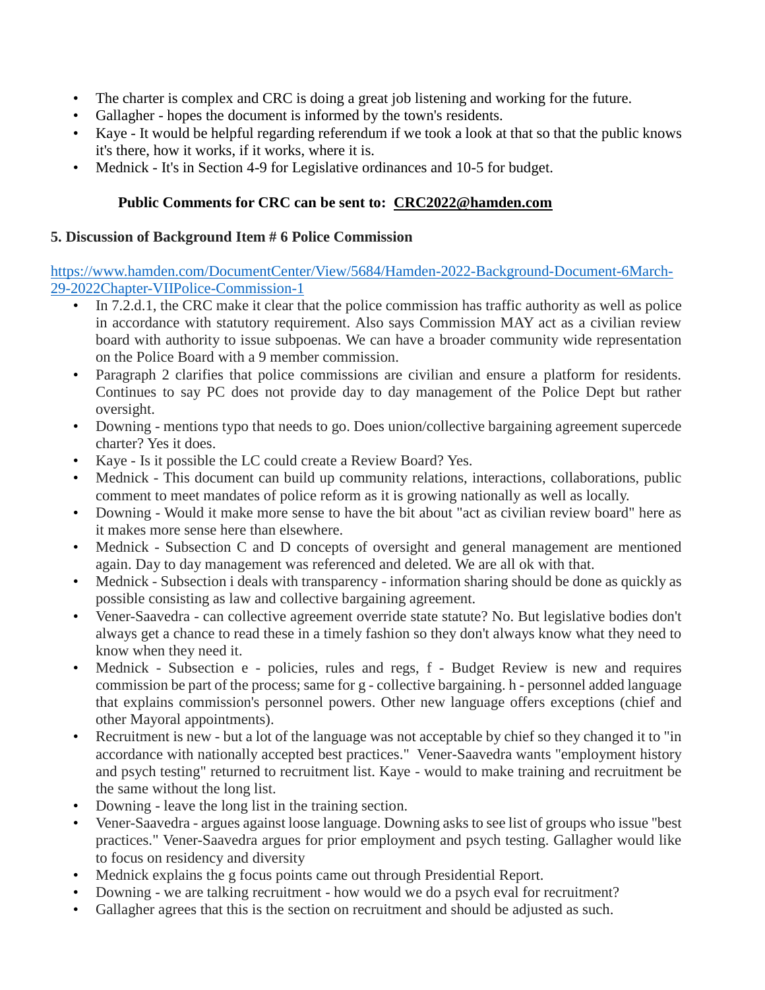- The charter is complex and CRC is doing a great job listening and working for the future.
- Gallagher hopes the document is informed by the town's residents.
- Kaye It would be helpful regarding referendum if we took a look at that so that the public knows it's there, how it works, if it works, where it is.
- Mednick It's in Section 4-9 for Legislative ordinances and 10-5 for budget.

# **Public Comments for CRC can be sent to: [CRC2022@hamden.com](mailto:CRC2022@hamden.com)**

#### **5. Discussion of Background Item # 6 Police Commission**

[https://www.hamden.com/DocumentCenter/View/5684/Hamden-2022-Background-Document-6March-](https://www.hamden.com/DocumentCenter/View/5684/Hamden-2022-Background-Document-6March-29-2022Chapter-VIIPolice-Commission-1)[29-2022Chapter-VIIPolice-Commission-1](https://www.hamden.com/DocumentCenter/View/5684/Hamden-2022-Background-Document-6March-29-2022Chapter-VIIPolice-Commission-1)

- In 7.2.d.1, the CRC make it clear that the police commission has traffic authority as well as police in accordance with statutory requirement. Also says Commission MAY act as a civilian review board with authority to issue subpoenas. We can have a broader community wide representation on the Police Board with a 9 member commission.
- Paragraph 2 clarifies that police commissions are civilian and ensure a platform for residents. Continues to say PC does not provide day to day management of the Police Dept but rather oversight.
- Downing mentions typo that needs to go. Does union/collective bargaining agreement supercede charter? Yes it does.
- Kaye Is it possible the LC could create a Review Board? Yes.
- Mednick This document can build up community relations, interactions, collaborations, public comment to meet mandates of police reform as it is growing nationally as well as locally.
- Downing Would it make more sense to have the bit about "act as civilian review board" here as it makes more sense here than elsewhere.
- Mednick Subsection C and D concepts of oversight and general management are mentioned again. Day to day management was referenced and deleted. We are all ok with that.
- Mednick Subsection i deals with transparency information sharing should be done as quickly as possible consisting as law and collective bargaining agreement.
- Vener-Saavedra can collective agreement override state statute? No. But legislative bodies don't always get a chance to read these in a timely fashion so they don't always know what they need to know when they need it.
- Mednick Subsection e policies, rules and regs, f Budget Review is new and requires commission be part of the process; same for g - collective bargaining. h - personnel added language that explains commission's personnel powers. Other new language offers exceptions (chief and other Mayoral appointments).
- Recruitment is new but a lot of the language was not acceptable by chief so they changed it to "in accordance with nationally accepted best practices." Vener-Saavedra wants "employment history and psych testing" returned to recruitment list. Kaye - would to make training and recruitment be the same without the long list.
- Downing leave the long list in the training section.
- Vener-Saavedra argues against loose language. Downing asks to see list of groups who issue "best practices." Vener-Saavedra argues for prior employment and psych testing. Gallagher would like to focus on residency and diversity
- Mednick explains the g focus points came out through Presidential Report.
- Downing we are talking recruitment how would we do a psych eval for recruitment?
- Gallagher agrees that this is the section on recruitment and should be adjusted as such.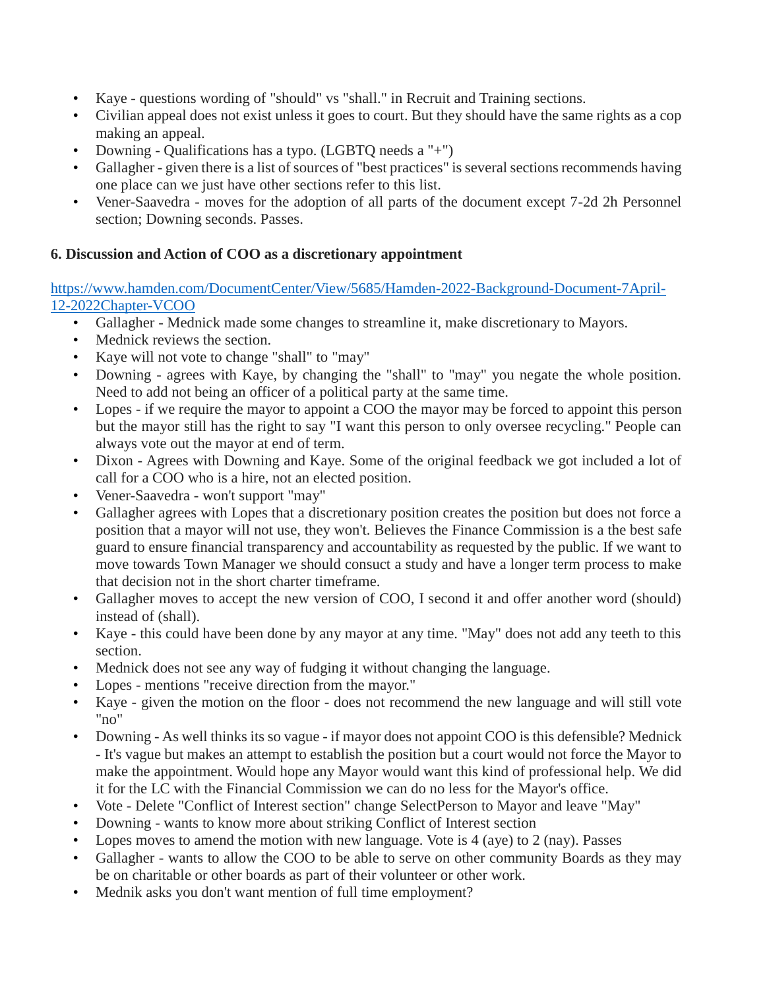- Kaye questions wording of "should" vs "shall." in Recruit and Training sections.
- Civilian appeal does not exist unless it goes to court. But they should have the same rights as a cop making an appeal.
- Downing Qualifications has a typo. (LGBTQ needs a "+")
- Gallagher given there is a list of sources of "best practices" is several sections recommends having one place can we just have other sections refer to this list.
- Vener-Saavedra moves for the adoption of all parts of the document except 7-2d 2h Personnel section; Downing seconds. Passes.

## **6. Discussion and Action of COO as a discretionary appointment**

## [https://www.hamden.com/DocumentCenter/View/5685/Hamden-2022-Background-Document-7April-](https://www.hamden.com/DocumentCenter/View/5685/Hamden-2022-Background-Document-7April-12-2022Chapter-VCOO)[12-2022Chapter-VCOO](https://www.hamden.com/DocumentCenter/View/5685/Hamden-2022-Background-Document-7April-12-2022Chapter-VCOO)

- Gallagher Mednick made some changes to streamline it, make discretionary to Mayors.
- Mednick reviews the section.
- Kaye will not vote to change "shall" to "may"
- Downing agrees with Kaye, by changing the "shall" to "may" you negate the whole position. Need to add not being an officer of a political party at the same time.
- Lopes if we require the mayor to appoint a COO the mayor may be forced to appoint this person but the mayor still has the right to say "I want this person to only oversee recycling." People can always vote out the mayor at end of term.
- Dixon Agrees with Downing and Kaye. Some of the original feedback we got included a lot of call for a COO who is a hire, not an elected position.
- Vener-Saavedra won't support "may"
- Gallagher agrees with Lopes that a discretionary position creates the position but does not force a position that a mayor will not use, they won't. Believes the Finance Commission is a the best safe guard to ensure financial transparency and accountability as requested by the public. If we want to move towards Town Manager we should consuct a study and have a longer term process to make that decision not in the short charter timeframe.
- Gallagher moves to accept the new version of COO, I second it and offer another word (should) instead of (shall).
- Kaye this could have been done by any mayor at any time. "May" does not add any teeth to this section.
- Mednick does not see any way of fudging it without changing the language.
- Lopes mentions "receive direction from the mayor."
- Kaye given the motion on the floor does not recommend the new language and will still vote "no"
- Downing As well thinks its so vague if mayor does not appoint COO is this defensible? Mednick - It's vague but makes an attempt to establish the position but a court would not force the Mayor to make the appointment. Would hope any Mayor would want this kind of professional help. We did it for the LC with the Financial Commission we can do no less for the Mayor's office.
- Vote Delete "Conflict of Interest section" change SelectPerson to Mayor and leave "May"
- Downing wants to know more about striking Conflict of Interest section
- Lopes moves to amend the motion with new language. Vote is 4 (aye) to 2 (nay). Passes
- Gallagher wants to allow the COO to be able to serve on other community Boards as they may be on charitable or other boards as part of their volunteer or other work.
- Mednik asks you don't want mention of full time employment?